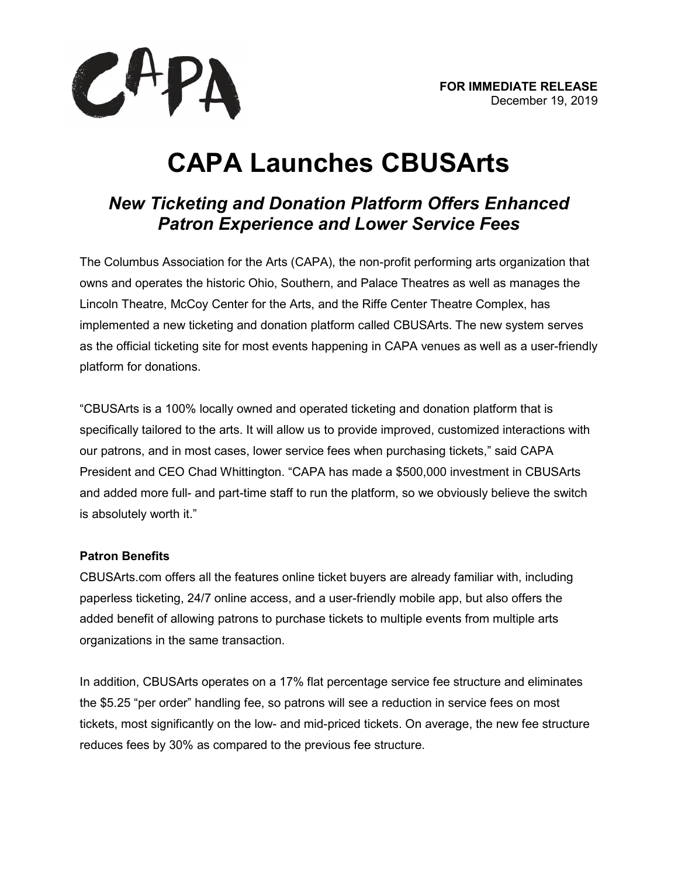

# **CAPA Launches CBUSArts**

# *New Ticketing and Donation Platform Offers Enhanced Patron Experience and Lower Service Fees*

The Columbus Association for the Arts (CAPA), the non-profit performing arts organization that owns and operates the historic Ohio, Southern, and Palace Theatres as well as manages the Lincoln Theatre, McCoy Center for the Arts, and the Riffe Center Theatre Complex, has implemented a new ticketing and donation platform called CBUSArts. The new system serves as the official ticketing site for most events happening in CAPA venues as well as a user-friendly platform for donations.

"CBUSArts is a 100% locally owned and operated ticketing and donation platform that is specifically tailored to the arts. It will allow us to provide improved, customized interactions with our patrons, and in most cases, lower service fees when purchasing tickets," said CAPA President and CEO Chad Whittington. "CAPA has made a \$500,000 investment in CBUSArts and added more full- and part-time staff to run the platform, so we obviously believe the switch is absolutely worth it."

## **Patron Benefits**

CBUSArts.com offers all the features online ticket buyers are already familiar with, including paperless ticketing, 24/7 online access, and a user-friendly mobile app, but also offers the added benefit of allowing patrons to purchase tickets to multiple events from multiple arts organizations in the same transaction.

In addition, CBUSArts operates on a 17% flat percentage service fee structure and eliminates the \$5.25 "per order" handling fee, so patrons will see a reduction in service fees on most tickets, most significantly on the low- and mid-priced tickets. On average, the new fee structure reduces fees by 30% as compared to the previous fee structure.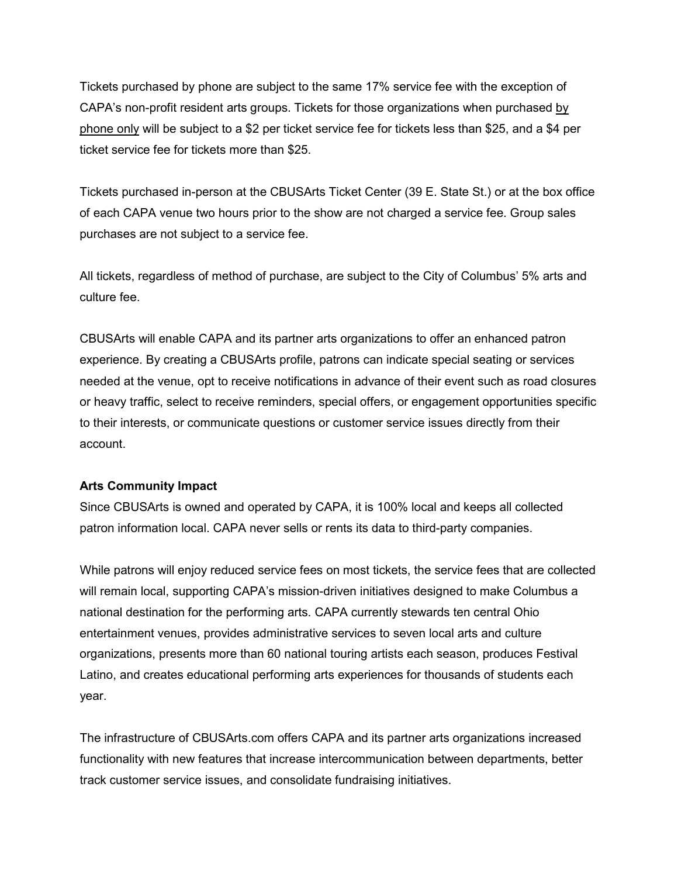Tickets purchased by phone are subject to the same 17% service fee with the exception of CAPA's non-profit resident arts groups. Tickets for those organizations when purchased by phone only will be subject to a \$2 per ticket service fee for tickets less than \$25, and a \$4 per ticket service fee for tickets more than \$25.

Tickets purchased in-person at the CBUSArts Ticket Center (39 E. State St.) or at the box office of each CAPA venue two hours prior to the show are not charged a service fee. Group sales purchases are not subject to a service fee.

All tickets, regardless of method of purchase, are subject to the City of Columbus' 5% arts and culture fee.

CBUSArts will enable CAPA and its partner arts organizations to offer an enhanced patron experience. By creating a CBUSArts profile, patrons can indicate special seating or services needed at the venue, opt to receive notifications in advance of their event such as road closures or heavy traffic, select to receive reminders, special offers, or engagement opportunities specific to their interests, or communicate questions or customer service issues directly from their account.

#### **Arts Community Impact**

Since CBUSArts is owned and operated by CAPA, it is 100% local and keeps all collected patron information local. CAPA never sells or rents its data to third-party companies.

While patrons will enjoy reduced service fees on most tickets, the service fees that are collected will remain local, supporting CAPA's mission-driven initiatives designed to make Columbus a national destination for the performing arts. CAPA currently stewards ten central Ohio entertainment venues, provides administrative services to seven local arts and culture organizations, presents more than 60 national touring artists each season, produces Festival Latino, and creates educational performing arts experiences for thousands of students each year.

The infrastructure of CBUSArts.com offers CAPA and its partner arts organizations increased functionality with new features that increase intercommunication between departments, better track customer service issues, and consolidate fundraising initiatives.